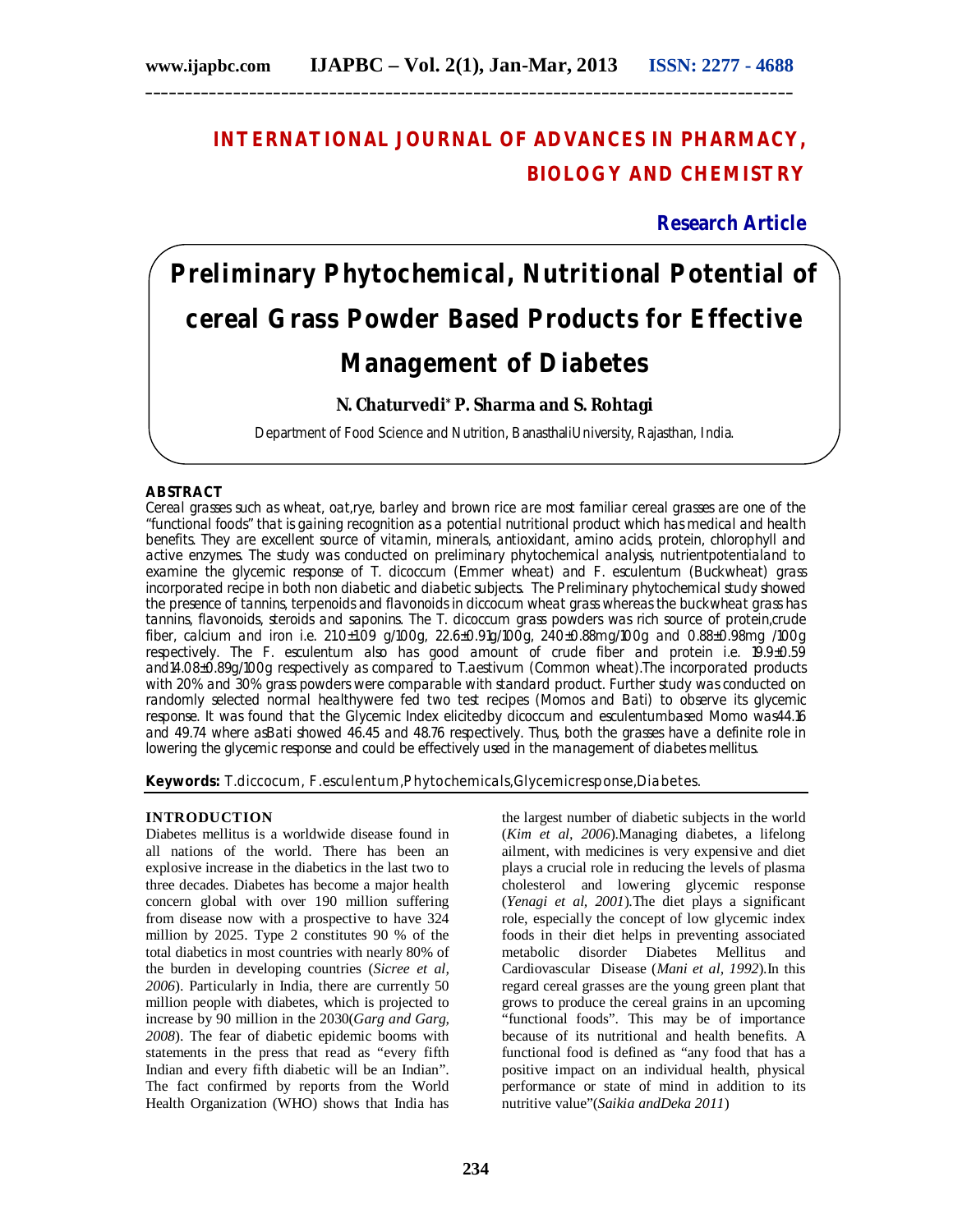# **INTERNATIONAL JOURNAL OF ADVANCES IN PHARMACY, BIOLOGY AND CHEMISTRY**

## **Research Article**

# **Preliminary Phytochemical, Nutritional Potential of cereal Grass Powder Based Products for Effective Management of Diabetes**

### **N. Chaturvedi\* P. Sharma and S. Rohtagi**

Department of Food Science and Nutrition, BanasthaliUniversity, Rajasthan, India.

#### **ABSTRACT**

Cereal grasses such as wheat, oat,rye, barley and brown rice are most familiar cereal grasses are one of the "functional foods" that is gaining recognition as a potential nutritional product which has medical and health benefits. They are excellent source of vitamin, minerals, antioxidant, amino acids, protein, chlorophyll and active enzymes. The study was conducted on preliminary phytochemical analysis, nutrientpotentialand to examine the glycemic response of T. dicoccum (Emmer wheat) and F. esculentum (Buckwheat) grass incorporated recipe in both non diabetic and diabetic subjects. The Preliminary phytochemical study showed the presence of tannins, terpenoids and flavonoids in diccocum wheat grass whereas the buckwheat grass has tannins, flavonoids, steroids and saponins. The T. dicoccum grass powders was rich source of protein,crude fiber, calcium and iron i.e. 21.0±1.09 g/100g, 22.6±0.91g/100g, 240±0.88mg/100g and 0.88±0.98mg /100g respectively. The F. esculentum also has good amount of crude fiber and protein i.e. 19.9±0.59 and14.08±0.89g/100g respectively as compared to T.aestivum (Common wheat).The incorporated products with 20% and 30% grass powders were comparable with standard product. Further study was conducted on randomly selected normal healthywere fed two test recipes (Momos and Bati) to observe its glycemic response. It was found that the Glycemic Index elicitedby dicoccum and esculentumbased Momo was44.16 and 49.74 where asBati showed 46.45 and 48.76 respectively. Thus, both the grasses have a definite role in lowering the glycemic response and could be effectively used in the management of diabetes mellitus.

**Keywords:** T.diccocum, F.esculentum,Phytochemicals,Glycemicresponse,Diabetes.

#### **INTRODUCTION**

Diabetes mellitus is a worldwide disease found in all nations of the world. There has been an explosive increase in the diabetics in the last two to three decades. Diabetes has become a major health concern global with over 190 million suffering from disease now with a prospective to have 324 million by 2025. Type 2 constitutes 90 % of the total diabetics in most countries with nearly 80% of the burden in developing countries (*Sicree et al, 2006*). Particularly in India, there are currently 50 million people with diabetes, which is projected to increase by 90 million in the 2030(*Garg and Garg, 2008*). The fear of diabetic epidemic booms with statements in the press that read as "every fifth Indian and every fifth diabetic will be an Indian". The fact confirmed by reports from the World Health Organization (WHO) shows that India has

the largest number of diabetic subjects in the world (*Kim et al, 2006*).Managing diabetes, a lifelong ailment, with medicines is very expensive and diet plays a crucial role in reducing the levels of plasma cholesterol and lowering glycemic response (*Yenagi et al, 2001*).The diet plays a significant role, especially the concept of low glycemic index foods in their diet helps in preventing associated metabolic disorder Diabetes Mellitus and Cardiovascular Disease (*Mani et al, 1992*).In this regard cereal grasses are the young green plant that grows to produce the cereal grains in an upcoming "functional foods". This may be of importance because of its nutritional and health benefits. A functional food is defined as "any food that has a positive impact on an individual health, physical performance or state of mind in addition to its nutritive value"(*Saikia andDeka 2011*)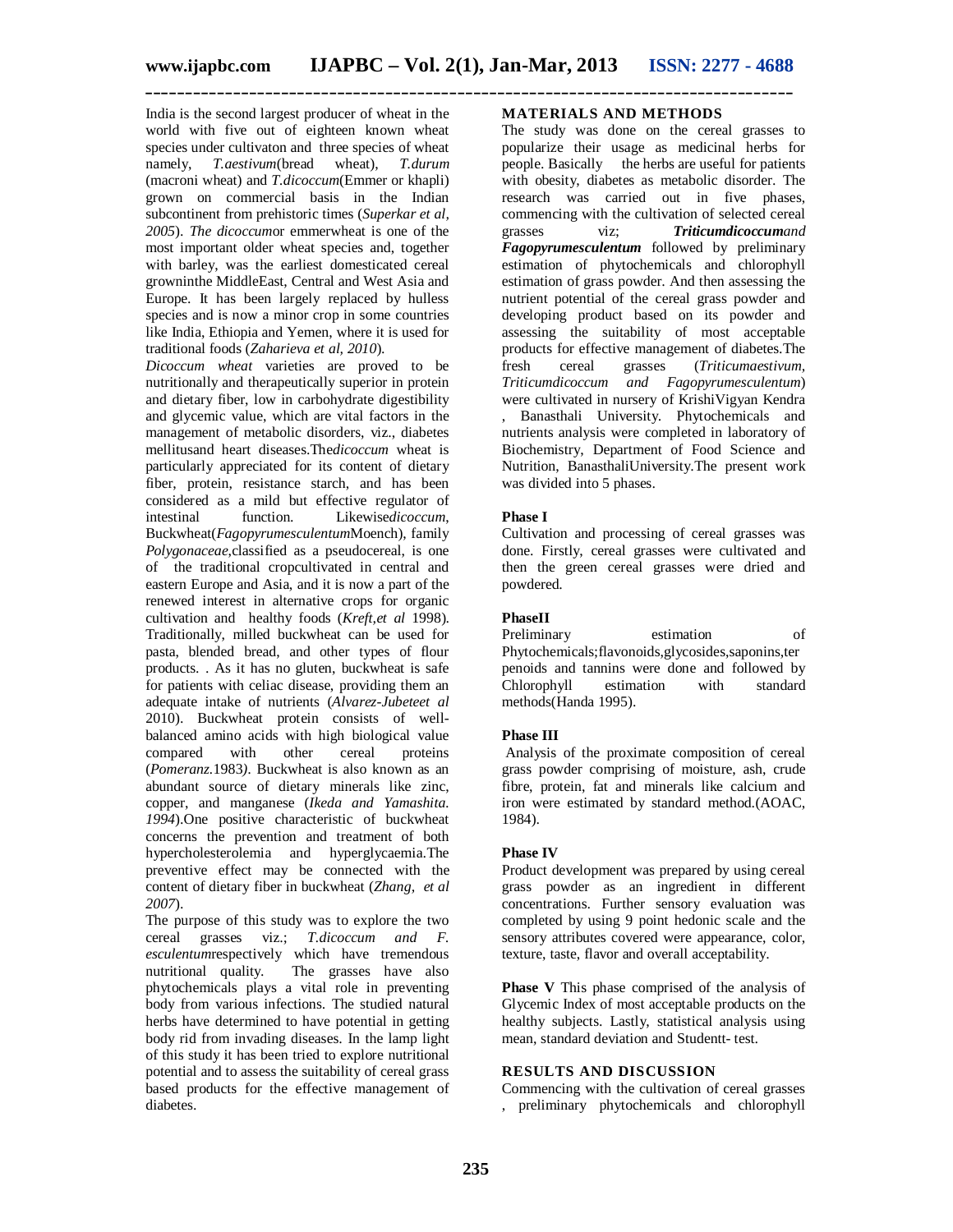India is the second largest producer of wheat in the world with five out of eighteen known wheat species under cultivaton and three species of wheat namely, *T.aestivum*(bread wheat), *T.durum* (macroni wheat) and *T.dicoccum*(Emmer or khapli) grown on commercial basis in the Indian subcontinent from prehistoric times (*Superkar et al, 2005*). *The dicoccum*or emmerwheat is one of the most important older wheat species and, together with barley, was the earliest domesticated cereal growninthe MiddleEast, Central and West Asia and Europe. It has been largely replaced by hulless species and is now a minor crop in some countries like India, Ethiopia and Yemen, where it is used for traditional foods (*Zaharieva et al, 2010*).

*Dicoccum wheat* varieties are proved to be nutritionally and therapeutically superior in protein and dietary fiber, low in carbohydrate digestibility and glycemic value, which are vital factors in the management of metabolic disorders, viz., diabetes mellitusand heart diseases.The*dicoccum* wheat is particularly appreciated for its content of dietary fiber, protein, resistance starch, and has been considered as a mild but effective regulator of intestinal function. Likewise*dicoccum*, Buckwheat(*Fagopyrumesculentum*Moench), family *Polygonaceae*,classified as a pseudocereal, is one of the traditional cropcultivated in central and eastern Europe and Asia, and it is now a part of the renewed interest in alternative crops for organic cultivation and healthy foods (*Kreft,et al* 1998). Traditionally, milled buckwheat can be used for pasta, blended bread, and other types of flour products. . As it has no gluten, buckwheat is safe for patients with celiac disease, providing them an adequate intake of nutrients (*Alvarez-Jubeteet al* 2010). Buckwheat protein consists of wellbalanced amino acids with high biological value<br>compared with other cereal proteins compared with other cereal proteins (*Pomeranz.*1983*).* Buckwheat is also known as an abundant source of dietary minerals like zinc, copper, and manganese (*Ikeda and Yamashita. 1994*).One positive characteristic of buckwheat concerns the prevention and treatment of both hypercholesterolemia and hyperglycaemia.The preventive effect may be connected with the content of dietary fiber in buckwheat (*Zhang, et al 2007*).

The purpose of this study was to explore the two cereal grasses viz.; *T.dicoccum and F. esculentum* respectively which have tremendous nutritional quality. The grasses have also The grasses have also phytochemicals plays a vital role in preventing body from various infections. The studied natural herbs have determined to have potential in getting body rid from invading diseases. In the lamp light of this study it has been tried to explore nutritional potential and to assess the suitability of cereal grass based products for the effective management of diabetes.

#### **MATERIALS AND METHODS**

The study was done on the cereal grasses to popularize their usage as medicinal herbs for people. Basically the herbs are useful for patients with obesity, diabetes as metabolic disorder. The research was carried out in five phases, commencing with the cultivation of selected cereal grasses viz; *Triticumdicoccumand Fagopyrumesculentum* followed by preliminary estimation of phytochemicals and chlorophyll estimation of grass powder. And then assessing the nutrient potential of the cereal grass powder and developing product based on its powder and assessing the suitability of most acceptable products for effective management of diabetes.The fresh cereal grasses (*Triticumaestivum, Triticumdicoccum and Fagopyrumesculentum*) were cultivated in nursery of KrishiVigyan Kendra , Banasthali University. Phytochemicals and nutrients analysis were completed in laboratory of Biochemistry, Department of Food Science and Nutrition, BanasthaliUniversity.The present work was divided into 5 phases.

#### **Phase I**

Cultivation and processing of cereal grasses was done. Firstly, cereal grasses were cultivated and then the green cereal grasses were dried and powdered.

#### **PhaseII**

Preliminary estimation of Phytochemicals;flavonoids,glycosides,saponins,ter penoids and tannins were done and followed by<br>
Chlorophyll estimation with standard Chlorophyll estimation with standard methods(Handa 1995).

#### **Phase III**

Analysis of the proximate composition of cereal grass powder comprising of moisture, ash, crude fibre, protein, fat and minerals like calcium and iron were estimated by standard method.(AOAC, 1984).

#### **Phase IV**

Product development was prepared by using cereal grass powder as an ingredient in different concentrations. Further sensory evaluation was completed by using 9 point hedonic scale and the sensory attributes covered were appearance, color, texture, taste, flavor and overall acceptability.

**Phase V** This phase comprised of the analysis of Glycemic Index of most acceptable products on the healthy subjects. Lastly, statistical analysis using mean, standard deviation and Studentt- test.

#### **RESULTS AND DISCUSSION**

Commencing with the cultivation of cereal grasses , preliminary phytochemicals and chlorophyll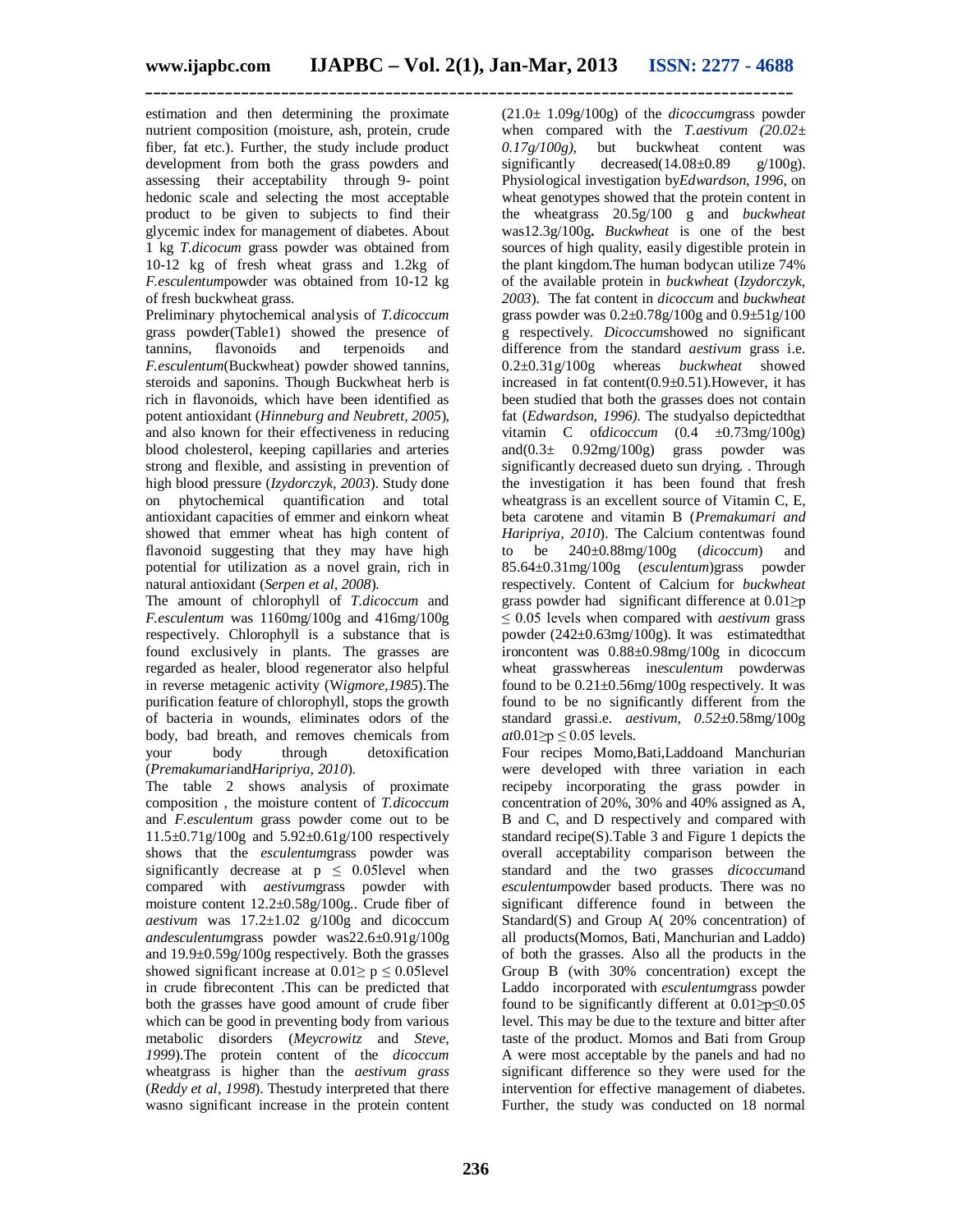estimation and then determining the proximate nutrient composition (moisture, ash, protein, crude fiber, fat etc.). Further, the study include product development from both the grass powders and assessing their acceptability through 9- point hedonic scale and selecting the most acceptable product to be given to subjects to find their glycemic index for management of diabetes. About 1 kg *T.dicocum* grass powder was obtained from 10-12 kg of fresh wheat grass and 1.2kg of *F.esculentum*powder was obtained from 10-12 kg of fresh buckwheat grass.

Preliminary phytochemical analysis of *T.dicoccum* grass powder(Table1) showed the presence of tannins, flavonoids and terpenoids and *F.esculentum*(Buckwheat) powder showed tannins, steroids and saponins. Though Buckwheat herb is rich in flavonoids, which have been identified as potent antioxidant (*Hinneburg and Neubrett, 2005*), and also known for their effectiveness in reducing blood cholesterol, keeping capillaries and arteries strong and flexible, and assisting in prevention of high blood pressure (*Izydorczyk, 2003*). Study done on phytochemical quantification and total antioxidant capacities of emmer and einkorn wheat showed that emmer wheat has high content of flavonoid suggesting that they may have high potential for utilization as a novel grain, rich in natural antioxidant (*Serpen et al, 2008*).

The amount of chlorophyll of *T.dicoccum* and *F.esculentum* was 1160mg/100g and 416mg/100g respectively. Chlorophyll is a substance that is found exclusively in plants. The grasses are regarded as healer, blood regenerator also helpful in reverse metagenic activity (W*igmore,1985*).The purification feature of chlorophyll, stops the growth of bacteria in wounds, eliminates odors of the body, bad breath, and removes chemicals from<br>vour body through detoxification body through detoxification (*Premakumari*and*Haripriya, 2010*).

The table 2 shows analysis of proximate composition , the moisture content of *T.dicoccum* and *F.esculentum* grass powder come out to be 11.5±0.71g/100g and 5.92±0.61g/100 respectively shows that the *esculentum*grass powder was significantly decrease at  $p \leq 0.05$  level when compared with *aestivum*grass powder with moisture content 12.2±0.58g/100g*.*. Crude fiber of *aestivum* was  $17.2 \pm 1.02$  g/100g and dicoccum *andesculentum*grass powder was22.6±0.91g/100g and 19.9±0.59g/100g respectively*.* Both the grasses showed significant increase at  $0.01 \ge p \le 0.05$  level in crude fibrecontent .This can be predicted that both the grasses have good amount of crude fiber which can be good in preventing body from various metabolic disorders (*Meycrowitz* and *Steve, 1999*).The protein content of the *dicoccum* wheatgrass is higher than the *aestivum grass* (*Reddy et al, 1998*). Thestudy interpreted that there wasno significant increase in the protein content (21.0± 1.09g/100g) of the *dicoccum*grass powder when compared with the *T.aestivum* (20.02± *0.17g/100g),* but buckwheat content was significantly decreased( $14.08\pm0.89$  g/ $100g$ ). Physiological investigation by*Edwardson, 1996*, on wheat genotypes showed that the protein content in the wheatgrass 20.5g/100 g and *buckwheat* was12.3g/100g**.** *Buckwheat* is one of the best sources of high quality, easily digestible protein in the plant kingdom.The human bodycan utilize 74% of the available protein in *buckwheat* (*Izydorczyk, 2003*). The fat content in *dicoccum* and *buckwheat* grass powder was 0.2±0.78g/100g and 0.9±51g/100 g respectively. *Dicoccum*showed no significant difference from the standard *aestivum* grass i.e. 0.2±0.31g/100g whereas *buckwheat* showed increased in fat content $(0.9 \pm 0.51)$ . However, it has been studied that both the grasses does not contain fat (*Edwardson, 1996)*. The studyalso depictedthat vitamin C of*dicoccum* (0.4 ±0.73mg/100g) and(0.3± 0.92mg/100g) grass powder was significantly decreased dueto sun drying. . Through the investigation it has been found that fresh wheatgrass is an excellent source of Vitamin C, E, beta carotene and vitamin B (*Premakumari and Haripriya, 2010*). The Calcium contentwas found to be 240±0.88mg/100g (*dicoccum*) and 85.64±0.31mg/100g (*esculentum*)grass powder respectively. Content of Calcium for *buckwheat*  grass powder had significant difference at 0.01≥p ≤ 0.05 levels when compared with *aestivum* grass powder (242±0.63mg/100g). It was estimatedthat ironcontent was 0.88±0.98mg/100g in dicoccum wheat grasswhereas in*esculentum* powderwas found to be  $0.21 \pm 0.56$  mg/100g respectively. It was found to be no significantly different from the standard grassi.e. *aestivum, 0.52*±0.58mg/100g *at*0.01≥p ≤ 0.05 levels*.*

Four recipes Momo,Bati,Laddoand Manchurian were developed with three variation in each recipeby incorporating the grass powder in concentration of 20%, 30% and 40% assigned as A, B and C, and D respectively and compared with standard recipe(S).Table 3 and Figure 1 depicts the overall acceptability comparison between the standard and the two grasses *dicoccum*and *esculentum*powder based products. There was no significant difference found in between the Standard(S) and Group A( 20% concentration) of all products(Momos, Bati, Manchurian and Laddo) of both the grasses. Also all the products in the Group B (with 30% concentration) except the Laddo incorporated with *esculentum*grass powder found to be significantly different at  $0.01 \ge p \le 0.05$ level. This may be due to the texture and bitter after taste of the product. Momos and Bati from Group A were most acceptable by the panels and had no significant difference so they were used for the intervention for effective management of diabetes. Further, the study was conducted on 18 normal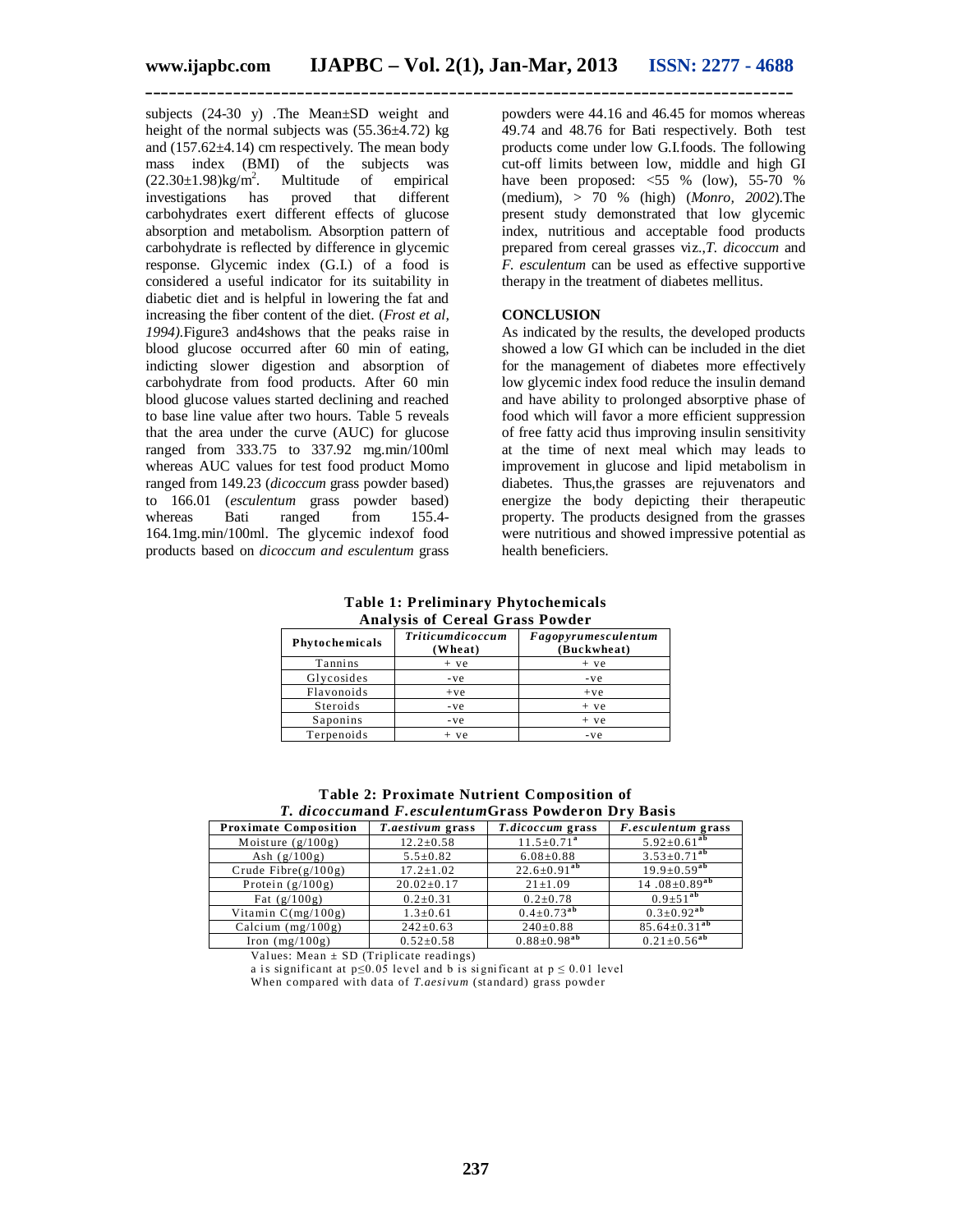subjects (24-30 y) .The Mean±SD weight and height of the normal subjects was (55.36±4.72) kg and  $(157.62\pm4.14)$  cm respectively. The mean body mass index (BMI) of the subjects was  $(22.30\pm1.98)$ kg/m<sup>2</sup>.<br>investigations has Multitude of empirical<br>proved that different investigations carbohydrates exert different effects of glucose absorption and metabolism. Absorption pattern of carbohydrate is reflected by difference in glycemic response. Glycemic index (G.I.) of a food is considered a useful indicator for its suitability in diabetic diet and is helpful in lowering the fat and increasing the fiber content of the diet. (*Frost et al, 1994).*Figure3 and4shows that the peaks raise in blood glucose occurred after 60 min of eating, indicting slower digestion and absorption of carbohydrate from food products. After 60 min blood glucose values started declining and reached to base line value after two hours. Table 5 reveals that the area under the curve (AUC) for glucose ranged from 333.75 to 337.92 mg.min/100ml whereas AUC values for test food product Momo ranged from 149.23 (*dicoccum* grass powder based) to 166.01 (*esculentum* grass powder based) whereas Bati ranged from 155.4-164.1mg.min/100ml. The glycemic indexof food products based on *dicoccum and esculentum* grass

powders were 44.16 and 46.45 for momos whereas 49.74 and 48.76 for Bati respectively. Both test products come under low G.I.foods. The following cut-off limits between low, middle and high GI have been proposed:  $\langle 55 \rangle$ % (low), 55-70 % (medium), > 70 % (high) (*Monro, 2002*).The present study demonstrated that low glycemic index, nutritious and acceptable food products prepared from cereal grasses viz.,*T. dicoccum* and *F. esculentum* can be used as effective supportive therapy in the treatment of diabetes mellitus.

#### **CONCLUSION**

As indicated by the results, the developed products showed a low GI which can be included in the diet for the management of diabetes more effectively low glycemic index food reduce the insulin demand and have ability to prolonged absorptive phase of food which will favor a more efficient suppression of free fatty acid thus improving insulin sensitivity at the time of next meal which may leads to improvement in glucose and lipid metabolism in diabetes. Thus,the grasses are rejuvenators and energize the body depicting their therapeutic property. The products designed from the grasses were nutritious and showed impressive potential as health beneficiers.

**Table 1: Preliminary Phytochemicals Analysis of Cereal Grass Powder**

| $1.11$ $1.11$ $1.11$ $1.11$ $1.11$ $1.11$ $1.11$ $1.11$ |                                    |                                    |  |  |  |
|---------------------------------------------------------|------------------------------------|------------------------------------|--|--|--|
| Phytochemicals                                          | <b>Triticumdicoccum</b><br>(Wheat) | Fagopyrumesculentum<br>(Buckwheat) |  |  |  |
| Tannins                                                 | $+ve$                              | $+ve$                              |  |  |  |
| Glycosides                                              | - ve                               | $-ve$                              |  |  |  |
| Flavonoids                                              | $+ve$                              | $+ve$                              |  |  |  |
| Steroids                                                | - ve                               | $+ve$                              |  |  |  |
| Saponins                                                | - ve                               | $+ve$                              |  |  |  |
| Terpenoids                                              | $+ve$                              | -ve                                |  |  |  |

**Table 2: Proximate Nutrient Composition of** *T. dicoccum***and** *F.esculentum***Grass Powderon Dry Basis**

| <b>Proximate Composition</b> | <i>T.aestivum</i> grass | <i>T.dicoccum</i> grass       | <i>F.esculentum</i> grass        |  |  |  |
|------------------------------|-------------------------|-------------------------------|----------------------------------|--|--|--|
| Moisture $(g/100g)$          | $12.2 \pm 0.58$         | $11.5 \pm 0.71$ <sup>a</sup>  | $5.92 \pm 0.61^{ab}$             |  |  |  |
| Ash $(g/100g)$               | $5.5 \pm 0.82$          | $6.08 \pm 0.88$               | $3.53 \pm 0.71^{ab}$             |  |  |  |
| Crude Fibre $(g/100g)$       | $17.2 \pm 1.02$         | $22.6 \pm 0.91^{ab}$          | $19.9 \pm 0.59^{ab}$             |  |  |  |
| Protein $(g/100g)$           | $20.02 \pm 0.17$        | $21 \pm 1.09$                 | 14.08 $\pm$ 0.89 $\overline{ab}$ |  |  |  |
| Fat $(g/100g)$               | $0.2 \pm 0.31$          | $0.2 \pm 0.78$                | $0.9 \pm 51^{ab}$                |  |  |  |
| Vitamin $C(mg/100g)$         | $1.3 \pm 0.61$          | $0.4 \pm 0.73$ <sup>ab</sup>  | $0.3+0.92^{ab}$                  |  |  |  |
| Calcium $(mg/100g)$          | $242 \pm 0.63$          | $240\pm0.88$                  | $85.64 \pm 0.31^{ab}$            |  |  |  |
| Iron $(mg/100g)$             | $0.52 \pm 0.58$         | $0.88 \pm 0.98$ <sup>ab</sup> | $0.21 \pm 0.56^{ab}$             |  |  |  |

Values: Mean  $\pm$  SD (Triplicate readings)

a is significant at  $p \le 0.05$  level and b is significant at  $p \le 0.01$  level

When compared with data of *T.aesi vum* (standard) grass powder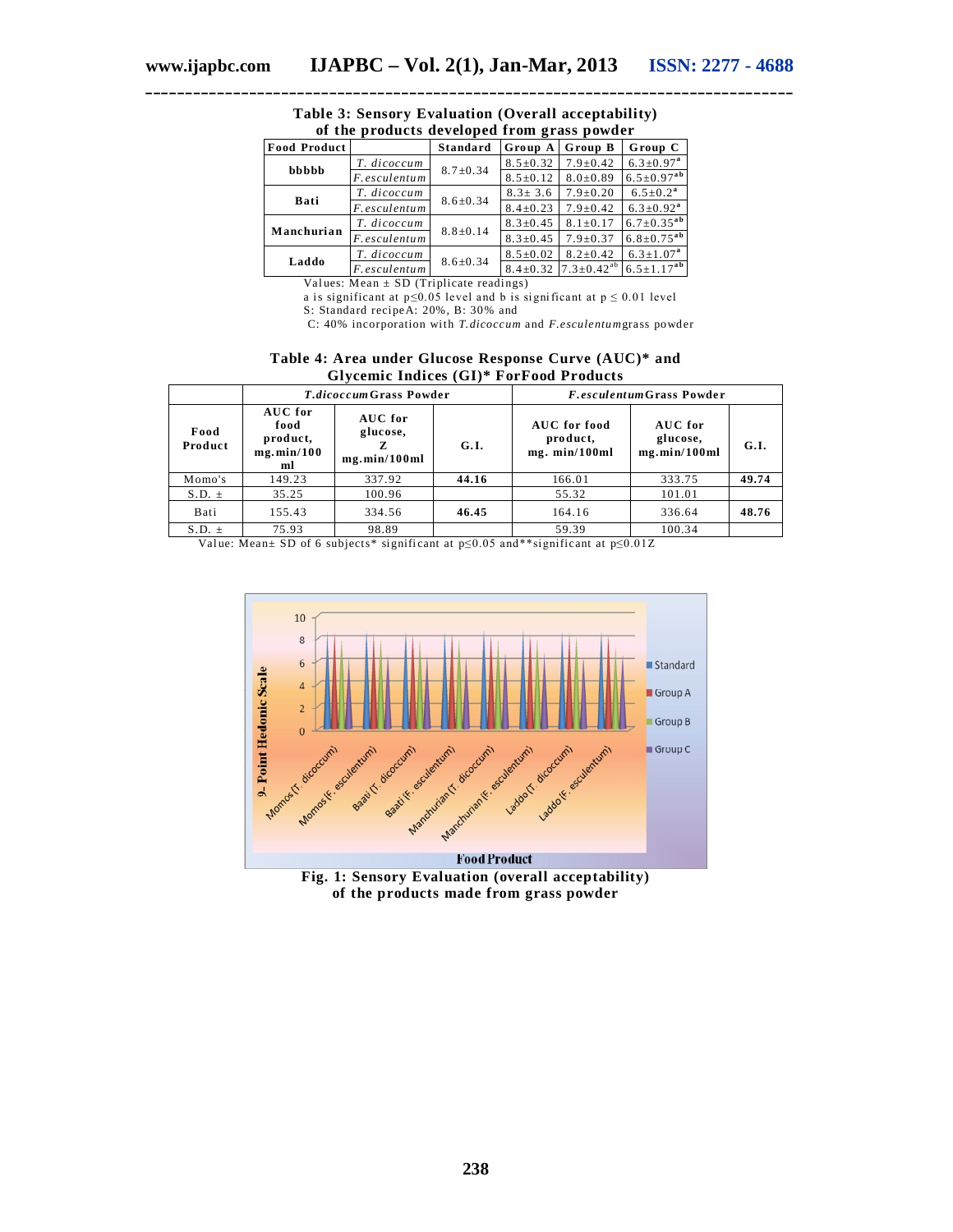| <b>Food Product</b> |               | <b>Standard</b> | Group A        | Group B             | Group C                     |
|---------------------|---------------|-----------------|----------------|---------------------|-----------------------------|
| bbbbb               | T. dicoccum   | $8.7 \pm 0.34$  | $8.5 \pm 0.32$ | $7.9 \pm 0.42$      | $6.3 \pm 0.97$ <sup>a</sup> |
|                     | F.esculentum  |                 | $8.5 \pm 0.12$ | $8.0 \pm 0.89$      | $6.5 \pm 0.97^{ab}$         |
| <b>Bati</b>         | T. dicoccum   | $8.6 \pm 0.34$  | $8.3 \pm 3.6$  | $7.9 \pm 0.20$      | $6.5 \pm 0.2^a$             |
|                     | F. esculentum |                 | $8.4 \pm 0.23$ | $7.9 \pm 0.42$      | $6.3 \pm 0.92^a$            |
| Manchurian          | T. dicoccum   | $8.8 \pm 0.14$  | $8.3 \pm 0.45$ | $8.1 \pm 0.17$      | $6.7 \pm 0.35^{ab}$         |
|                     | F.esculentum  |                 | $8.3 \pm 0.45$ | $7.9 \pm 0.37$      | $6.8 \pm 0.75^{ab}$         |
| Laddo               | T. dicoccum   | $8.6 \pm 0.34$  | $8.5 \pm 0.02$ | $8.2 \pm 0.42$      | $6.3 \pm 1.07^a$            |
|                     | F.esculentum  |                 | $8.4 \pm 0.32$ | $7.3 \pm 0.42^{ab}$ | $6.5 \pm 1.17^{ab}$         |

**Table 3: Sensory Evaluation (Overall acceptability) of the products developed from grass powder**

**\_\_\_\_\_\_\_\_\_\_\_\_\_\_\_\_\_\_\_\_\_\_\_\_\_\_\_\_\_\_\_\_\_\_\_\_\_\_\_\_\_\_\_\_\_\_\_\_\_\_\_\_\_\_\_\_\_\_\_\_\_\_\_\_\_\_\_\_\_\_\_\_\_\_\_\_\_\_\_\_\_**

Values: Mean  $\pm$  SD (Triplicate readings)

a is significant at  $p \le 0.05$  level and b is significant at  $p \le 0.01$  level S: Standard recipeA: 20%, B: 30% and

C: 40% incorporation with *T.dicoccum* and *F.esculentum*grass powder

#### **Table 4: Area under Glucose Response Curve (AUC)\* and Glycemic Indices (GI)\* ForFood Products**

|                 | <i>T.dicoccum</i> Grass Powder                  |                                     | <i>F.esculentumGrass Powder</i> |                                           |                                     |       |
|-----------------|-------------------------------------------------|-------------------------------------|---------------------------------|-------------------------------------------|-------------------------------------|-------|
| Food<br>Product | AUC for<br>food<br>product,<br>mg.min/100<br>ml | AUC for<br>glucose,<br>mg.min/100ml | G.I.                            | AUC for food<br>product,<br>mg. min/100ml | AUC for<br>glucose,<br>mg.min/100ml | G.I.  |
| Momo's          | 149.23                                          | 337.92                              | 44.16                           | 166.01                                    | 333.75                              | 49.74 |
| $S.D. \pm$      | 35.25                                           | 100.96                              |                                 | 55.32                                     | 101.01                              |       |
| Bati            | 155.43                                          | 334.56                              | 46.45                           | 164.16                                    | 336.64                              | 48.76 |
| $S.D. \pm$      | 75.93                                           | 98.89                               |                                 | 59.39                                     | 100.34                              |       |

Val ue: Mean± SD of 6 subjects\* signifi cant at p≤0.05 and\*\*significant at p≤0.01Z



**Fig. 1: Sensory Evaluation (overall acceptability) of the products made from grass powder**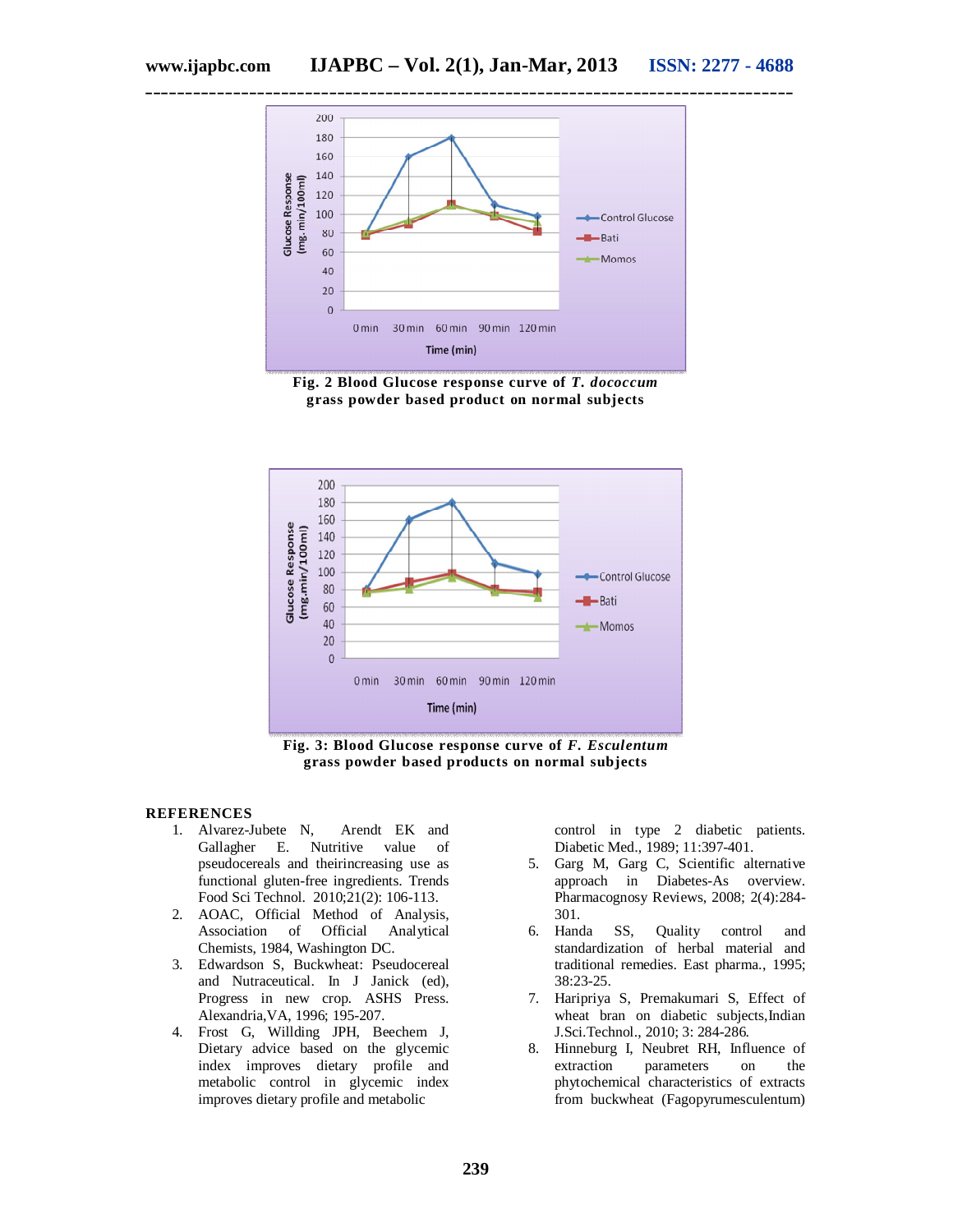

**\_\_\_\_\_\_\_\_\_\_\_\_\_\_\_\_\_\_\_\_\_\_\_\_\_\_\_\_\_\_\_\_\_\_\_\_\_\_\_\_\_\_\_\_\_\_\_\_\_\_\_\_\_\_\_\_\_\_\_\_\_\_\_\_\_\_\_\_\_\_\_\_\_\_\_\_\_\_\_\_\_**

**Fig. 2 Blood Glucose response curve of** *T. dococcum* **grass powder based product on normal subjects**



**Fig. 3: Blood Glucose response curve of** *F. Esculentum* **grass powder based products on normal subjects**

#### **REFERENCES**

- 1. Alvarez-Jubete N, Arendt EK and<br>Gallagher E. Nutritive value of Gallagher E. Nutritive value of pseudocereals and theirincreasing use as functional gluten-free ingredients. Trends Food Sci Technol. 2010;21(2): 106-113.
- 2. AOAC, Official Method of Analysis, Association of Official Analytical Chemists, 1984, Washington DC.
- 3. Edwardson S, Buckwheat: Pseudocereal and Nutraceutical. In J Janick (ed), Progress in new crop. ASHS Press. Alexandria,VA, 1996; 195-207.
- 4. Frost G, Willding JPH, Beechem J, Dietary advice based on the glycemic index improves dietary profile and metabolic control in glycemic index improves dietary profile and metabolic

control in type 2 diabetic patients. Diabetic Med., 1989; 11:397-401.

- 5. Garg M, Garg C, Scientific alternative approach in Diabetes-As overview. Pharmacognosy Reviews, 2008; 2(4):284- 301.
- 6. Handa SS, Quality control and standardization of herbal material and traditional remedies. East pharma., 1995; 38:23-25.
- 7. Haripriya S, Premakumari S, Effect of wheat bran on diabetic subjects,Indian J.Sci.Technol., 2010; 3: 284-286.
- 8. Hinneburg I, Neubret RH, Influence of extraction parameters on the parameters on the phytochemical characteristics of extracts from buckwheat (Fagopyrumesculentum)